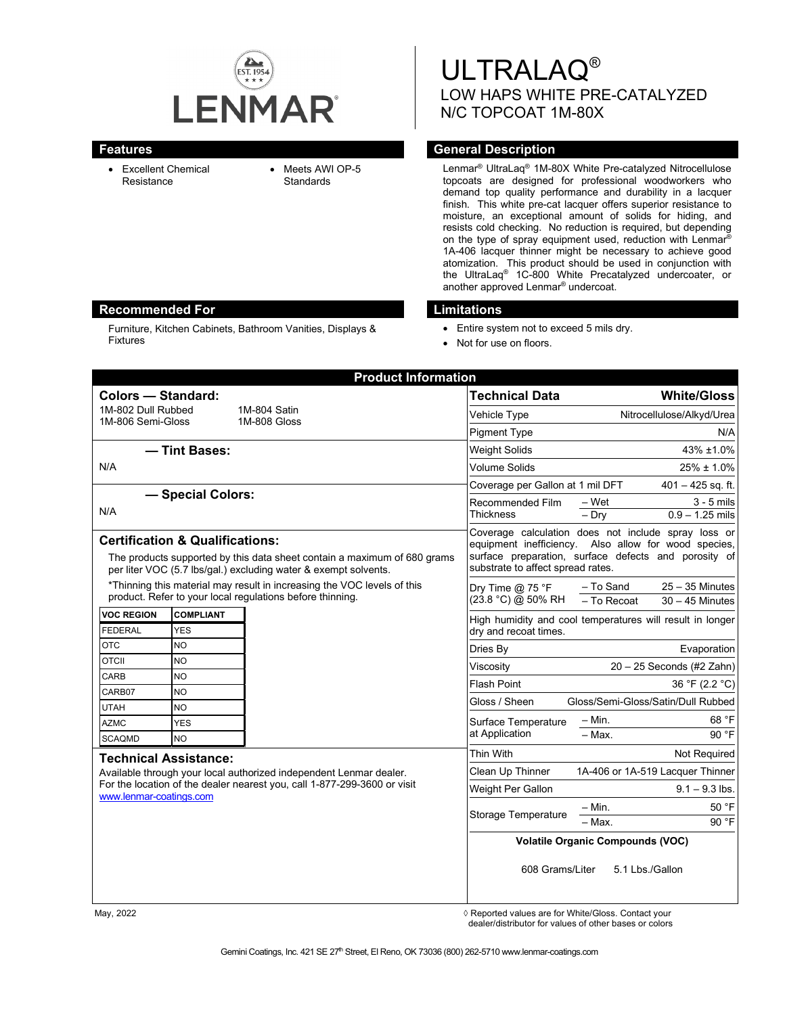

Furniture, Kitchen Cabinets, Bathroom Vanities, Displays &

Fixtures

- Excellent Chemical Resistance
- Meets AWI OP-5 **Standards**

ULTRALAQ® LOW HAPS WHITE PRE-CATALYZED N/C TOPCOAT 1M-80X

## **Features Features General Description**

Lenmar® UltraLaq® 1M-80X White Pre-catalyzed Nitrocellulose topcoats are designed for professional woodworkers who demand top quality performance and durability in a lacquer finish. This white pre-cat lacquer offers superior resistance to moisture, an exceptional amount of solids for hiding, and resists cold checking. No reduction is required, but depending on the type of spray equipment used, reduction with Lenmar® 1A-406 lacquer thinner might be necessary to achieve good atomization. This product should be used in conjunction with the UltraLaq® 1C-800 White Precatalyzed undercoater, or another approved Lenmar® undercoat.

### **Recommended For Limitations**

- Entire system not to exceed 5 mils dry.
- Not for use on floors.

| <b>Product Information</b>                                                                                                                                                                                |                                |                                         |                                          |                                                                                                                                                                     |
|-----------------------------------------------------------------------------------------------------------------------------------------------------------------------------------------------------------|--------------------------------|-----------------------------------------|------------------------------------------|---------------------------------------------------------------------------------------------------------------------------------------------------------------------|
| <b>Colors - Standard:</b>                                                                                                                                                                                 |                                |                                         | <b>Technical Data</b>                    | <b>White/Gloss</b>                                                                                                                                                  |
| 1M-802 Dull Rubbed                                                                                                                                                                                        |                                | 1M-804 Satin<br>1M-808 Gloss            | Vehicle Type                             | Nitrocellulose/Alkyd/Urea                                                                                                                                           |
| 1M-806 Semi-Gloss                                                                                                                                                                                         |                                |                                         | <b>Pigment Type</b>                      | N/A                                                                                                                                                                 |
| - Tint Bases:                                                                                                                                                                                             |                                |                                         | <b>Weight Solids</b>                     | 43% ±1.0%                                                                                                                                                           |
| N/A                                                                                                                                                                                                       |                                |                                         | <b>Volume Solids</b>                     | 25% ± 1.0%                                                                                                                                                          |
|                                                                                                                                                                                                           |                                |                                         | Coverage per Gallon at 1 mil DFT         | $401 - 425$ sq. ft.                                                                                                                                                 |
| - Special Colors:                                                                                                                                                                                         |                                |                                         | Recommended Film<br>Thickness            | $-$ Wet<br>$3 - 5$ mils                                                                                                                                             |
| N/A                                                                                                                                                                                                       |                                | $-\overline{D}$ ry<br>$0.9 - 1.25$ mils |                                          |                                                                                                                                                                     |
| <b>Certification &amp; Qualifications:</b><br>The products supported by this data sheet contain a maximum of 680 grams<br>per liter VOC (5.7 lbs/gal.) excluding water & exempt solvents.                 |                                |                                         | substrate to affect spread rates.        | Coverage calculation does not include spray loss or<br>equipment inefficiency. Also allow for wood species,<br>surface preparation, surface defects and porosity of |
| *Thinning this material may result in increasing the VOC levels of this<br>product. Refer to your local regulations before thinning.                                                                      |                                |                                         | Dry Time $@$ 75 °F<br>(23.8 °C) @ 50% RH | $25 - 35$ Minutes<br>- To Sand<br>- To Recoat<br>$30 - 45$ Minutes                                                                                                  |
| <b>VOC REGION</b><br><b>FEDERAL</b>                                                                                                                                                                       | <b>COMPLIANT</b><br><b>YES</b> |                                         | dry and recoat times.                    | High humidity and cool temperatures will result in longer                                                                                                           |
| <b>OTC</b>                                                                                                                                                                                                | NO.                            |                                         | Dries By                                 | Evaporation                                                                                                                                                         |
| <b>OTCII</b>                                                                                                                                                                                              | NO.                            |                                         | Viscosity                                | $20 - 25$ Seconds (#2 Zahn)                                                                                                                                         |
| CARB                                                                                                                                                                                                      | <b>NO</b>                      |                                         | <b>Flash Point</b>                       | 36 °F (2.2 °C)                                                                                                                                                      |
| CARB07                                                                                                                                                                                                    | <b>NO</b>                      |                                         | Gloss / Sheen                            | Gloss/Semi-Gloss/Satin/Dull Rubbed                                                                                                                                  |
| <b>UTAH</b><br><b>AZMC</b>                                                                                                                                                                                | <b>NO</b><br><b>YES</b>        |                                         | Surface Temperature                      | $- Min.$<br>68 °F                                                                                                                                                   |
| <b>SCAQMD</b>                                                                                                                                                                                             | <b>NO</b>                      |                                         | at Application                           | $-$ Max.<br>90 °F                                                                                                                                                   |
|                                                                                                                                                                                                           |                                |                                         | Thin With                                | Not Required                                                                                                                                                        |
| <b>Technical Assistance:</b><br>Available through your local authorized independent Lenmar dealer.<br>For the location of the dealer nearest you, call 1-877-299-3600 or visit<br>www.lenmar-coatings.com |                                |                                         | Clean Up Thinner                         | 1A-406 or 1A-519 Lacquer Thinner                                                                                                                                    |
|                                                                                                                                                                                                           |                                |                                         | Weight Per Gallon                        | $9.1 - 9.3$ lbs.                                                                                                                                                    |
|                                                                                                                                                                                                           |                                |                                         | Storage Temperature                      | $- Min.$<br>50 °F                                                                                                                                                   |
|                                                                                                                                                                                                           |                                | 90 °F<br>$-$ Max.                       |                                          |                                                                                                                                                                     |
|                                                                                                                                                                                                           |                                |                                         | <b>Volatile Organic Compounds (VOC)</b>  |                                                                                                                                                                     |
|                                                                                                                                                                                                           |                                |                                         | 608 Grams/Liter<br>5.1 Lbs./Gallon       |                                                                                                                                                                     |

May, 2022 *May, 2022 Reported values are for White/Gloss. Contact your* dealer/distributor for values of other bases or colors